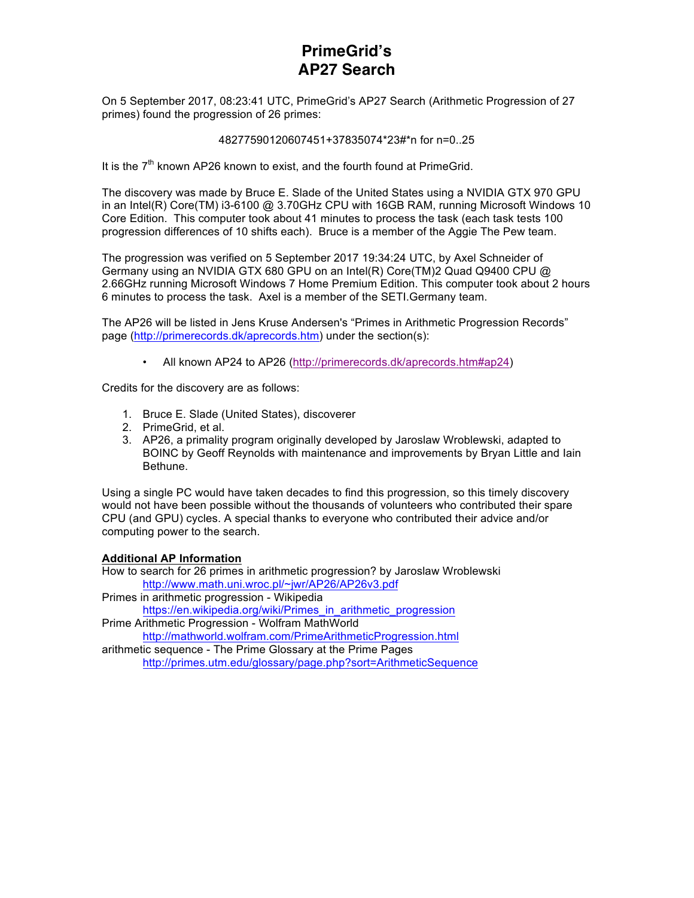## **PrimeGrid's AP27 Search**

On 5 September 2017, 08:23:41 UTC, PrimeGrid's AP27 Search (Arithmetic Progression of 27 primes) found the progression of 26 primes:

#### 48277590120607451+37835074\*23#\*n for n=0..25

It is the 7<sup>th</sup> known AP26 known to exist, and the fourth found at PrimeGrid.

The discovery was made by Bruce E. Slade of the United States using a NVIDIA GTX 970 GPU in an Intel(R) Core(TM) i3-6100 @ 3.70GHz CPU with 16GB RAM, running Microsoft Windows 10 Core Edition. This computer took about 41 minutes to process the task (each task tests 100 progression differences of 10 shifts each). Bruce is a member of the Aggie The Pew team.

The progression was verified on 5 September 2017 19:34:24 UTC, by Axel Schneider of Germany using an NVIDIA GTX 680 GPU on an Intel(R) Core(TM)2 Quad Q9400 CPU @ 2.66GHz running Microsoft Windows 7 Home Premium Edition. This computer took about 2 hours 6 minutes to process the task. Axel is a member of the SETI.Germany team.

The AP26 will be listed in Jens Kruse Andersen's "Primes in Arithmetic Progression Records" page (http://primerecords.dk/aprecords.htm) under the section(s):

• All known AP24 to AP26 (http://primerecords.dk/aprecords.htm#ap24)

Credits for the discovery are as follows:

- 1. Bruce E. Slade (United States), discoverer
- 2. PrimeGrid, et al.
- 3. AP26, a primality program originally developed by Jaroslaw Wroblewski, adapted to BOINC by Geoff Reynolds with maintenance and improvements by Bryan Little and Iain Bethune.

Using a single PC would have taken decades to find this progression, so this timely discovery would not have been possible without the thousands of volunteers who contributed their spare CPU (and GPU) cycles. A special thanks to everyone who contributed their advice and/or computing power to the search.

### **Additional AP Information**

How to search for 26 primes in arithmetic progression? by Jaroslaw Wroblewski http://www.math.uni.wroc.pl/~jwr/AP26/AP26v3.pdf

Primes in arithmetic progression - Wikipedia https://en.wikipedia.org/wiki/Primes\_in\_arithmetic\_progression

Prime Arithmetic Progression - Wolfram MathWorld

http://mathworld.wolfram.com/PrimeArithmeticProgression.html

arithmetic sequence - The Prime Glossary at the Prime Pages http://primes.utm.edu/glossary/page.php?sort=ArithmeticSequence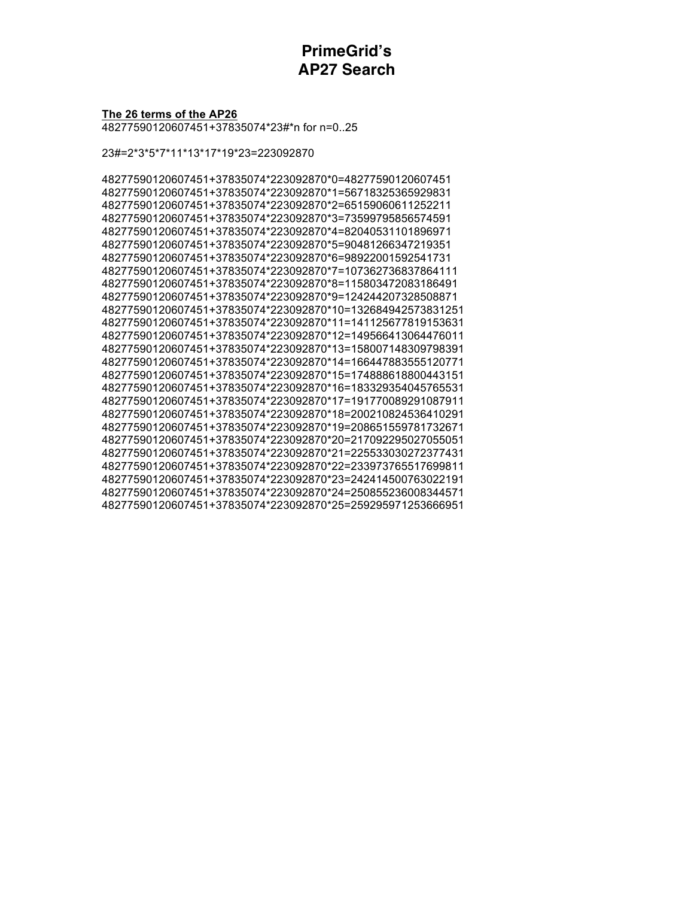## **PrimeGrid's AP27 Search**

#### The 26 terms of the AP26

48277590120607451+37835074\*23#\*n for n=0..25

23#=2\*3\*5\*7\*11\*13\*17\*19\*23=223092870

48277590120607451+37835074\*223092870\*0=48277590120607451 48277590120607451+37835074\*223092870\*1=56718325365929831 48277590120607451+37835074\*223092870\*2=65159060611252211 48277590120607451+37835074\*223092870\*3=73599795856574591 48277590120607451+37835074\*223092870\*4=82040531101896971 48277590120607451+37835074\*223092870\*5=90481266347219351 48277590120607451+37835074\*223092870\*6=98922001592541731 48277590120607451+37835074\*223092870\*7=107362736837864111 48277590120607451+37835074\*223092870\*8=115803472083186491 48277590120607451+37835074\*223092870\*9=124244207328508871 48277590120607451+37835074\*223092870\*10=132684942573831251 48277590120607451+37835074\*223092870\*11=141125677819153631 48277590120607451+37835074\*223092870\*12=149566413064476011 48277590120607451+37835074\*223092870\*13=158007148309798391 48277590120607451+37835074\*223092870\*14=166447883555120771 48277590120607451+37835074\*223092870\*15=174888618800443151 48277590120607451+37835074\*223092870\*16=183329354045765531 48277590120607451+37835074\*223092870\*17=191770089291087911 48277590120607451+37835074\*223092870\*18=200210824536410291 48277590120607451+37835074\*223092870\*19=208651559781732671 48277590120607451+37835074\*223092870\*20=217092295027055051 48277590120607451+37835074\*223092870\*21=225533030272377431 48277590120607451+37835074\*223092870\*22=233973765517699811 48277590120607451+37835074\*223092870\*23=242414500763022191 48277590120607451+37835074\*223092870\*24=250855236008344571 48277590120607451+37835074\*223092870\*25=259295971253666951